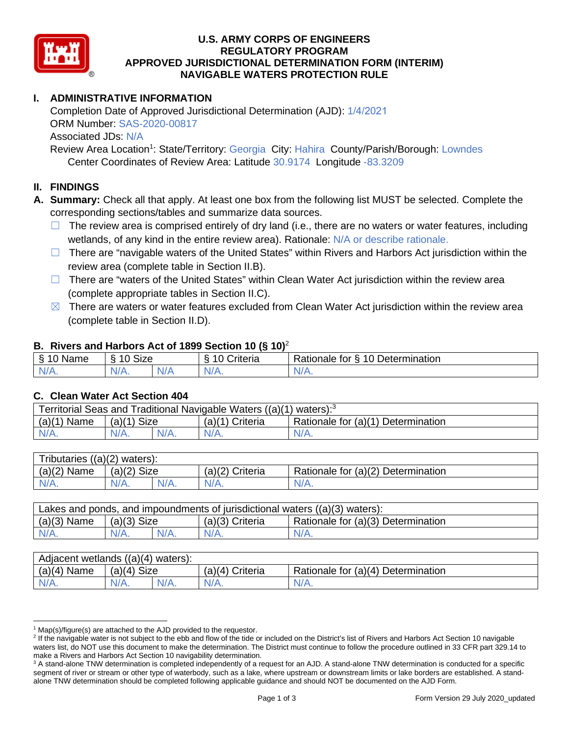

# **U.S. ARMY CORPS OF ENGINEERS REGULATORY PROGRAM APPROVED JURISDICTIONAL DETERMINATION FORM (INTERIM) NAVIGABLE WATERS PROTECTION RULE**

## **I. ADMINISTRATIVE INFORMATION**

Completion Date of Approved Jurisdictional Determination (AJD): 1/4/2021 ORM Number: SAS-2020-00817 Associated JDs: N/A

Review Area Location<sup>1</sup>: State/Territory: Georgia City: Hahira County/Parish/Borough: Lowndes Center Coordinates of Review Area: Latitude 30.9174 Longitude -83.3209

### **II. FINDINGS**

 **A. Summary:** Check all that apply. At least one box from the following list MUST be selected. Complete the corresponding sections/tables and summarize data sources.

- □ The review area is comprised entirely of dry land (i.e., there are no waters or water features, including wetlands, of any kind in the entire review area). Rationale: N/A or describe rationale.
- review area (complete table in Section II.B).  $\Box$  There are "navigable waters of the United States" within Rivers and Harbors Act jurisdiction within the
- (complete appropriate tables in Section II.C). ☐ There are "waters of the United States" within Clean Water Act jurisdiction within the review area
- $\boxtimes$  There are waters or water features excluded from Clean Water Act jurisdiction within the review area (complete table in Section II.D).

### **B. Rivers and Harbors Act of 1899 Section 10 (§ 10)**<sup>2</sup>

| $\sim$<br>$\sim$<br>$\sim$<br>$\sim$<br>⇘<br>ivarie<br>u | $\mathbf{r}$<br>10<br>Size |     | -<br>$\sim$<br>;riteria | $\overline{\phantom{0}}$<br>-<br>$\overline{A}$<br>Jetermination<br>tor<br>Rationale |
|----------------------------------------------------------|----------------------------|-----|-------------------------|--------------------------------------------------------------------------------------|
| N/                                                       | AH 7                       | . . | $\mathbf{v}$            | ∿                                                                                    |
| . .                                                      |                            | N/z |                         | $\mathbf{v}$                                                                         |

### **C. Clean Water Act Section 404**

| Territorial Seas and Traditional Navigable Waters ((a)(1) waters): <sup>3</sup> |               |         |                 |                                    |  |  |
|---------------------------------------------------------------------------------|---------------|---------|-----------------|------------------------------------|--|--|
| $(a)(1)$ Name                                                                   | $(a)(1)$ Size |         | (a)(1) Criteria | Rationale for (a)(1) Determination |  |  |
| $N/A$ .                                                                         | $N/A$ .       | $N/A$ . | $N/A$ .         | $N/A$ .                            |  |  |
|                                                                                 |               |         |                 |                                    |  |  |

| Tributaries $((a)(2)$ waters): |               |         |                 |                                    |  |  |
|--------------------------------|---------------|---------|-----------------|------------------------------------|--|--|
| $(a)(2)$ Name                  | $(a)(2)$ Size |         | (a)(2) Criteria | Rationale for (a)(2) Determination |  |  |
| $N/A$ .                        | $N/A$ .       | $N/A$ . | $N/A$ .         | $N/A$ .                            |  |  |
|                                |               |         |                 |                                    |  |  |

| $(a)(3)$ Name<br>Rationale for (a)(3) Determination<br>$(a)(3)$ Size<br>$(a)(3)$ Criteria | Lakes and ponds, and impoundments of jurisdictional waters $((a)(3)$ waters): |         |         |         |         |  |
|-------------------------------------------------------------------------------------------|-------------------------------------------------------------------------------|---------|---------|---------|---------|--|
|                                                                                           |                                                                               |         |         |         |         |  |
|                                                                                           | $N/A$ .                                                                       | $N/A$ . | $N/A$ . | $N/A$ . | $N/A$ . |  |

| $(a)(4)$ Name<br>$(a)(4)$ Size<br>Rationale for (a)(4) Determination<br>$(a)(4)$ Criteria<br>$N/A$ .<br>$N/A$ .<br>$N/A$ .<br>N/A. | Adjacent wetlands $((a)(4)$ waters): |  |  |  |  |  |  |
|------------------------------------------------------------------------------------------------------------------------------------|--------------------------------------|--|--|--|--|--|--|
|                                                                                                                                    |                                      |  |  |  |  |  |  |
|                                                                                                                                    |                                      |  |  |  |  |  |  |

 $1$  Map(s)/figure(s) are attached to the AJD provided to the requestor.

<sup>&</sup>lt;sup>2</sup> If the navigable water is not subject to the ebb and flow of the tide or included on the District's list of Rivers and Harbors Act Section 10 navigable waters list, do NOT use this document to make the determination. The District must continue to follow the procedure outlined in 33 CFR part 329.14 to make a Rivers and Harbors Act Section 10 navigability determination.

 $3$  A stand-alone TNW determination is completed independently of a request for an AJD. A stand-alone TNW determination is conducted for a specific segment of river or stream or other type of waterbody, such as a lake, where upstream or downstream limits or lake borders are established. A standalone TNW determination should be completed following applicable guidance and should NOT be documented on the AJD Form.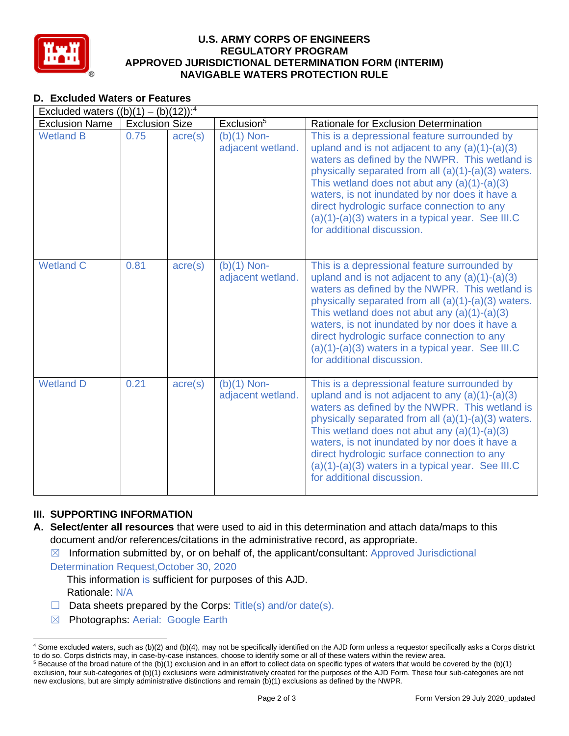

# **U.S. ARMY CORPS OF ENGINEERS REGULATORY PROGRAM APPROVED JURISDICTIONAL DETERMINATION FORM (INTERIM) NAVIGABLE WATERS PROTECTION RULE**

## **D. Excluded Waters or Features**

| Excluded waters $((b)(1) - (b)(12))$ : <sup>4</sup> |                       |                  |                                    |                                                                                                                                                                                                                                                                                                                                                                                                                                                    |
|-----------------------------------------------------|-----------------------|------------------|------------------------------------|----------------------------------------------------------------------------------------------------------------------------------------------------------------------------------------------------------------------------------------------------------------------------------------------------------------------------------------------------------------------------------------------------------------------------------------------------|
| <b>Exclusion Name</b>                               | <b>Exclusion Size</b> |                  | Exclusion <sup>5</sup>             | <b>Rationale for Exclusion Determination</b>                                                                                                                                                                                                                                                                                                                                                                                                       |
| <b>Wetland B</b>                                    | 0.75                  | $\text{acre}(s)$ | $(b)(1)$ Non-<br>adjacent wetland. | This is a depressional feature surrounded by<br>upland and is not adjacent to any $(a)(1)-(a)(3)$<br>waters as defined by the NWPR. This wetland is<br>physically separated from all (a)(1)-(a)(3) waters.<br>This wetland does not abut any $(a)(1)-(a)(3)$<br>waters, is not inundated by nor does it have a<br>direct hydrologic surface connection to any<br>$(a)(1)-(a)(3)$ waters in a typical year. See III.C<br>for additional discussion. |
| <b>Wetland C</b>                                    | 0.81                  | $\text{acre}(s)$ | $(b)(1)$ Non-<br>adjacent wetland. | This is a depressional feature surrounded by<br>upland and is not adjacent to any $(a)(1)-(a)(3)$<br>waters as defined by the NWPR. This wetland is<br>physically separated from all (a)(1)-(a)(3) waters.<br>This wetland does not abut any $(a)(1)-(a)(3)$<br>waters, is not inundated by nor does it have a<br>direct hydrologic surface connection to any<br>$(a)(1)-(a)(3)$ waters in a typical year. See III.C<br>for additional discussion. |
| <b>Wetland D</b>                                    | 0.21                  | $\text{acre}(s)$ | $(b)(1)$ Non-<br>adjacent wetland. | This is a depressional feature surrounded by<br>upland and is not adjacent to any $(a)(1)-(a)(3)$<br>waters as defined by the NWPR. This wetland is<br>physically separated from all (a)(1)-(a)(3) waters.<br>This wetland does not abut any $(a)(1)-(a)(3)$<br>waters, is not inundated by nor does it have a<br>direct hydrologic surface connection to any<br>$(a)(1)-(a)(3)$ waters in a typical year. See III.C<br>for additional discussion. |

## **III. SUPPORTING INFORMATION**

**A. Select/enter all resources** that were used to aid in this determination and attach data/maps to this document and/or references/citations in the administrative record, as appropriate.

 $\boxtimes$  Information submitted by, or on behalf of, the applicant/consultant: Approved Jurisdictional

Determination Request,October 30, 2020

This information is sufficient for purposes of this AJD.

Rationale: N/A

- $\Box$  Data sheets prepared by the Corps: Title(s) and/or date(s).
- ☒ Photographs: Aerial: Google Earth

 4 Some excluded waters, such as (b)(2) and (b)(4), may not be specifically identified on the AJD form unless a requestor specifically asks a Corps district to do so. Corps districts may, in case-by-case instances, choose to identify some or all of these waters within the review area. to do so. Corps districts may, in case-by-case instances, choose to identify some or all of these waters within the review area.<br><sup>5</sup> Because of the broad nature of the (b)(1) exclusion and in an effort to collect data on s

 exclusion, four sub-categories of (b)(1) exclusions were administratively created for the purposes of the AJD Form. These four sub-categories are not new exclusions, but are simply administrative distinctions and remain (b)(1) exclusions as defined by the NWPR.